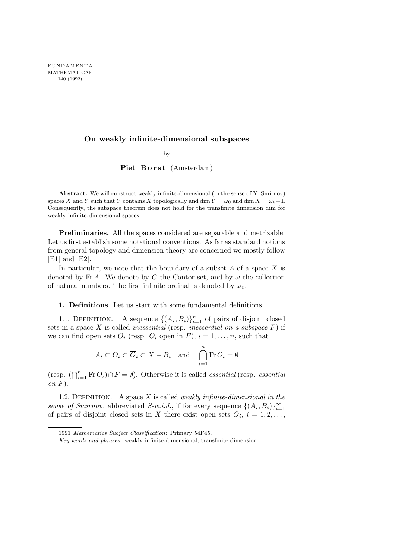## On weakly infinite-dimensional subspaces

by

Piet Borst (Amsterdam)

Abstract. We will construct weakly infinite-dimensional (in the sense of Y. Smirnov) spaces X and Y such that Y contains X topologically and dim  $Y = \omega_0$  and dim  $X = \omega_0 + 1$ . Consequently, the subspace theorem does not hold for the transfinite dimension dim for weakly infinite-dimensional spaces.

Preliminaries. All the spaces considered are separable and metrizable. Let us first establish some notational conventions. As far as standard notions from general topology and dimension theory are concerned we mostly follow [E1] and [E2].

In particular, we note that the boundary of a subset  $A$  of a space  $X$  is denoted by Fr A. We denote by C the Cantor set, and by  $\omega$  the collection of natural numbers. The first infinite ordinal is denoted by  $\omega_0$ .

1. Definitions. Let us start with some fundamental definitions.

1.1. DEFINITION. A sequence  $\{(A_i, B_i)\}_{i=1}^n$  of pairs of disjoint closed sets in a space  $X$  is called *inessential* (resp. *inessential on a subspace*  $F$ ) if we can find open sets  $O_i$  (resp.  $O_i$  open in F),  $i = 1, \ldots, n$ , such that

$$
A_i \subset O_i \subset \overline{O}_i \subset X - B_i \quad \text{and} \quad \bigcap_{i=1}^n \text{Fr } O_i = \emptyset
$$

(resp.  $(\bigcap_{i=1}^n \text{Fr}\, O_i) \cap F = \emptyset$ ). Otherwise it is called *essential* (resp. *essential* on  $F$ ).

1.2. DEFINITION. A space  $X$  is called *weakly infinite-dimensional in the* sense of Smirnov, abbreviated S-w.i.d., if for every sequence  $\{(A_i, B_i)\}_{i=1}^{\infty}$ of pairs of disjoint closed sets in X there exist open sets  $O_i$ ,  $i = 1, 2, \ldots$ ,

<sup>1991</sup> Mathematics Subject Classification: Primary 54F45.

Key words and phrases: weakly infinite-dimensional, transfinite dimension.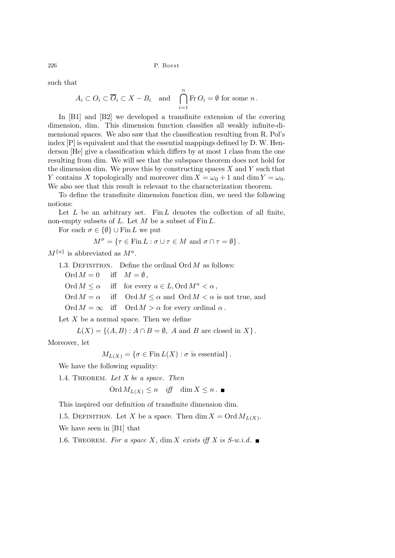such that

$$
A_i \subset O_i \subset \overline{O}_i \subset X - B_i
$$
 and  $\bigcap_{i=1}^n$  Fr  $O_i = \emptyset$  for some  $n$ .

In [B1] and [B2] we developed a transfinite extension of the covering dimension, dim. This dimension function classifies all weakly infinite-dimensional spaces. We also saw that the classification resulting from R. Pol's index [P] is equivalent and that the essential mappings defined by D. W. Henderson [He] give a classification which differs by at most 1 class from the one resulting from dim. We will see that the subspace theorem does not hold for the dimension dim. We prove this by constructing spaces  $X$  and  $Y$  such that Y contains X topologically and moreover dim  $X = \omega_0 + 1$  and dim  $Y = \omega_0$ . We also see that this result is relevant to the characterization theorem.

To define the transfinite dimension function dim, we need the following notions:

Let  $L$  be an arbitrary set. Fin  $L$  denotes the collection of all finite, non-empty subsets of  $L$ . Let  $M$  be a subset of  $\text{Fin } L$ .

For each  $\sigma \in {\emptyset} \cup \text{Fin } L$  we put

$$
M^{\sigma} = \{ \tau \in \text{Fin } L : \sigma \cup \tau \in M \text{ and } \sigma \cap \tau = \emptyset \}.
$$

 $M^{\{a\}}$  is abbreviated as  $M^a$ .

1.3. DEFINITION. Define the ordinal  $\mathrm{Ord}\, M$  as follows: Ord  $M = 0$  iff  $M = \emptyset$ .

Ord  $M \leq \alpha$  iff for every  $a \in L$ , Ord  $M^a \leq \alpha$ ,

Ord  $M = \alpha$  iff Ord  $M \leq \alpha$  and Ord  $M \leq \alpha$  is not true, and

Ord  $M = \infty$  iff Ord  $M > \alpha$  for every ordinal  $\alpha$ .

Let  $X$  be a normal space. Then we define

 $L(X) = \{(A, B) : A \cap B = \emptyset, A \text{ and } B \text{ are closed in } X\}.$ 

Moreover, let

 $M_{L(X)} = \{\sigma \in \text{Fin } L(X) : \sigma \text{ is essential}\}.$ 

We have the following equality:

1.4. THEOREM. Let  $X$  be a space. Then

Ord  $M_{L(X)} \leq n$  iff dim  $X \leq n$ .

This inspired our definition of transfinite dimension dim.

1.5. DEFINITION. Let X be a space. Then  $\dim X = \text{Ord } M_{L(X)}$ . We have seen in [B1] that

1.6. THEOREM. For a space X, dim X exists iff X is  $S-w.i.d.$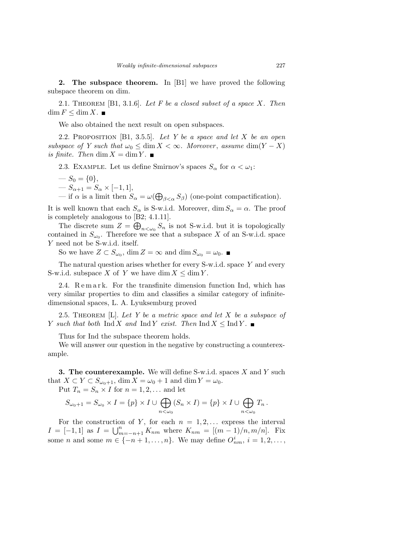2. The subspace theorem. In [B1] we have proved the following subspace theorem on dim.

2.1. THEOREM  $[B1, 3.1.6]$ . Let F be a closed subset of a space X. Then  $\dim F \leq \dim X$ .

We also obtained the next result on open subspaces.

2.2. PROPOSITION [B1, 3.5.5]. Let Y be a space and let X be an open subspace of Y such that  $\omega_0 \leq \dim X < \infty$ . Moreover, assume  $\dim(Y - X)$ is finite. Then  $\dim X = \dim Y$ .

2.3. EXAMPLE. Let us define Smirnov's spaces  $S_{\alpha}$  for  $\alpha < \omega_1$ :

$$
- S_0 = \{0\},
$$
  

$$
- S_{\alpha+1} = S_{\alpha} \times [-1, 1],
$$

— if  $\alpha$  is a limit then  $S_{\alpha} = \omega(\bigoplus_{\beta < \alpha} S_{\beta})$  (one-point compactification).

It is well known that each  $S_{\alpha}$  is S-w.i.d. Moreover, dim  $S_{\alpha} = \alpha$ . The proof is completely analogous to [B2; 4.1.11].

The discrete sum  $Z = \bigoplus_{n \leq \omega_0} S_n$  is not S-w.i.d. but it is topologically contained in  $S_{\omega_0}$ . Therefore we see that a subspace X of an S-w.i.d. space Y need not be S-w.i.d. itself.

So we have  $Z \subset S_{\omega_0}$ ,  $\dim Z = \infty$  and  $\dim S_{\omega_0} = \omega_0$ .

The natural question arises whether for every  $S-w.i.d.$  space  $Y$  and every S-w.i.d. subspace X of Y we have dim  $X \leq \dim Y$ .

2.4. Remark. For the transfinite dimension function Ind, which has very similar properties to dim and classifies a similar category of infinitedimensional spaces, L. A. Lyuksemburg proved

2.5. THEOREM [L]. Let Y be a metric space and let X be a subspace of Y such that both  $\text{Ind } X$  and  $\text{Ind } Y$  exist. Then  $\text{Ind } X \leq \text{Ind } Y$ .

Thus for Ind the subspace theorem holds.

We will answer our question in the negative by constructing a counterexample.

**3. The counterexample.** We will define S-w.i.d. spaces  $X$  and  $Y$  such that  $X \subset Y \subset S_{\omega_0+1}$ , dim  $X = \omega_0 + 1$  and dim  $Y = \omega_0$ .

Put  $T_n = S_n \times I$  for  $n = 1, 2, \dots$  and let

$$
S_{\omega_0+1} = S_{\omega_0} \times I = \{p\} \times I \cup \bigoplus_{n < \omega_0} (S_n \times I) = \{p\} \times I \cup \bigoplus_{n < \omega_0} T_n.
$$

For the construction of Y, for each  $n = 1, 2, \ldots$  express the interval  $I = [-1, 1]$  as  $I = \bigcup_{m=-n+1}^{n} K_{nm}$  where  $K_{nm} = [(m-1)/n, m/n]$ . Fix some *n* and some  $m \in \{-n+1,\ldots,n\}$ . We may define  $O_{nm}^i$ ,  $i = 1, 2, \ldots$ ,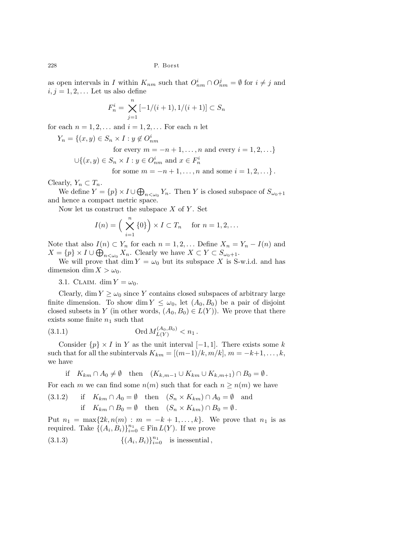as open intervals in I within  $K_{nm}$  such that  $O_{nm}^i \cap O_{nm}^j = \emptyset$  for  $i \neq j$  and  $i, j = 1, 2, \ldots$  Let us also define

$$
F_n^i = \bigtimes_{j=1}^n [-1/(i+1), 1/(i+1)] \subset S_n
$$

for each  $n = 1, 2, \ldots$  and  $i = 1, 2, \ldots$  For each n let

$$
Y_n = \{(x, y) \in S_n \times I : y \notin O_{nm}^i
$$
  
for every  $m = -n + 1, ..., n$  and every  $i = 1, 2, ...$   

$$
\bigcup \{(x, y) \in S_n \times I : y \in O_{nm}^i \text{ and } x \in F_n^i
$$

for some 
$$
m = -n + 1, ..., n
$$
 and some  $i = 1, 2, ...$ .

Clearly,  $Y_n \subset T_n$ .

We define  $Y = \{p\} \times I \cup \bigoplus_{n \leq \omega_0} Y_n$ . Then Y is closed subspace of  $S_{\omega_0+1}$ and hence a compact metric space.

Now let us construct the subspace  $X$  of  $Y$ . Set

$$
I(n) = \left(\bigtimes_{i=1}^{n} \{0\}\right) \times I \subset T_n \quad \text{ for } n = 1, 2, \dots
$$

Note that also  $I(n) \subset Y_n$  for each  $n = 1, 2, \ldots$  Define  $X_n = Y_n - I(n)$  and  $X = \{p\} \times I \cup \bigoplus_{n \leq \omega_0} X_n$ . Clearly we have  $X \subset Y \subset S_{\omega_0+1}$ .

We will prove that dim  $Y = \omega_0$  but its subspace X is S-w.i.d. and has dimension dim  $X > \omega_0$ .

3.1. CLAIM. dim  $Y = \omega_0$ .

Clearly, dim  $Y \geq \omega_0$  since Y contains closed subspaces of arbitrary large finite dimension. To show dim  $Y \leq \omega_0$ , let  $(A_0, B_0)$  be a pair of disjoint closed subsets in Y (in other words,  $(A_0, B_0) \in L(Y)$ ). We prove that there exists some finite  $n_1$  such that

(3.1.1) 
$$
\text{Ord } M_{L(Y)}^{(A_0, B_0)} < n_1 \, .
$$

Consider  $\{p\} \times I$  in Y as the unit interval [−1, 1]. There exists some k such that for all the subintervals  $K_{km} = [(m-1)/k, m/k], m = -k+1, \ldots, k,$ we have

if 
$$
K_{km} \cap A_0 \neq \emptyset
$$
 then  $(K_{k,m-1} \cup K_{km} \cup K_{k,m+1}) \cap B_0 = \emptyset$ .

For each m we can find some  $n(m)$  such that for each  $n \geq n(m)$  we have

(3.1.2) if 
$$
K_{km} \cap A_0 = \emptyset
$$
 then  $(S_n \times K_{km}) \cap A_0 = \emptyset$  and  
if  $K_{km} \cap B_0 = \emptyset$  then  $(S_n \times K_{km}) \cap B_0 = \emptyset$ .

Put  $n_1 = \max\{2k, n(m) : m = -k+1, \ldots, k\}$ . We prove that  $n_1$  is as required. Take  $\{(A_i, B_i)\}_{i=0}^{n_1} \in \text{Fin}\, L(Y)$ . If we prove

 $(3.1.3)$  $, B_i)$  $\}_{i=0}^{n_1}$  is inessential,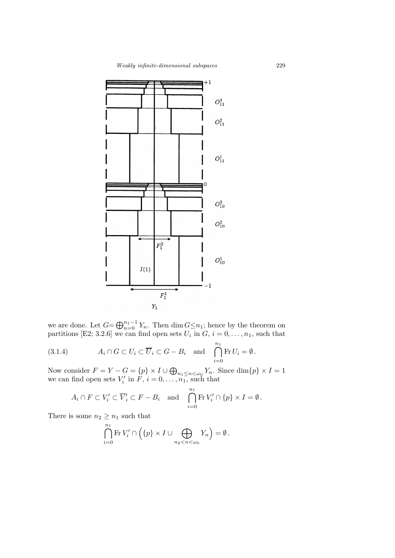

we are done. Let  $G = \bigoplus_{n=0}^{n_1-1} Y_n$ . Then  $\dim G \leq n_1$ ; hence by the theorem on partitions [E2; 3.2.6] we can find open sets  $U_i$  in  $G, i = 0, \ldots, n_1$ , such that

(3.1.4) 
$$
A_i \cap G \subset U_i \subset \overline{U}_i \subset G - B_i \text{ and } \bigcap_{i=0}^{n_1} \text{Fr } U_i = \emptyset.
$$

Now consider  $F = Y - G = \{p\} \times I \cup \bigoplus_{n_1 \leq n < \omega_0} Y_n$ . Since  $\dim\{p\} \times I = 1$ we can find open sets  $V'_i$  in  $F, i = 0, \ldots, n_1$ , such that

$$
A_i \cap F \subset V'_i \subset \overline{V}'_i \subset F - B_i
$$
 and  $\bigcap_{i=0}^{n_1} \text{Fr } V'_i \cap \{p\} \times I = \emptyset$ .

There is some  $n_2 \geq n_1$  such that

$$
\bigcap_{i=0}^{n_1} \mathrm{Fr}\, V'_i \cap \left( \{p\} \times I \cup \bigoplus_{n_2 < n < \omega_0} Y_n \right) = \emptyset \, .
$$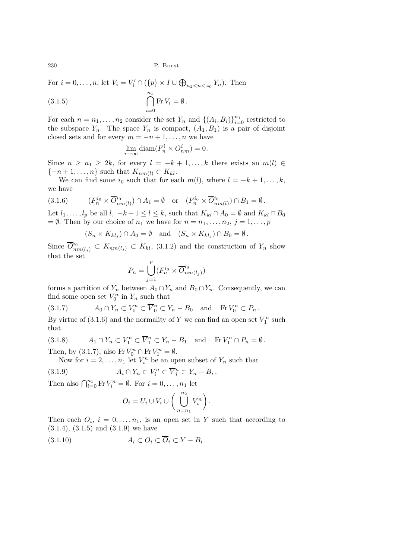For  $i = 0, \ldots, n$ , let  $V_i = V'_i \cap (\{p\} \times I \cup \bigoplus_{n_2 < n < \omega_0} Y_n)$ . Then

(3.1.5) 
$$
\bigcap_{i=0}^{n_1} \mathrm{Fr} V_i = \emptyset.
$$

For each  $n = n_1, \ldots, n_2$  consider the set  $Y_n$  and  $\{(A_i, B_i)\}_{i=0}^{n_1}$  restricted to the subspace  $Y_n$ . The space  $Y_n$  is compact,  $(A_1, B_1)$  is a pair of disjoint closed sets and for every  $m = -n + 1, \ldots, n$  we have

$$
\lim_{i \to \infty} \text{diam}(F_n^i \times O_{nm}^i) = 0 \, .
$$

Since  $n \geq n_1 \geq 2k$ , for every  $l = -k + 1, \ldots, k$  there exists an  $m(l) \in$  $\{-n+1,\ldots,n\}$  such that  $K_{nm(l)} \subset K_{kl}$ .

We can find some  $i_0$  such that for each  $m(l)$ , where  $l = -k + 1, \ldots, k$ , we have

$$
(3.1.6) \t(F_n^{i_0} \times \overline{O}_{nm(l)}^{i_0}) \cap A_1 = \emptyset \t or \t(F_n^{i_0} \times \overline{O}_{nm(l)}^{i_0}) \cap B_1 = \emptyset.
$$

Let  $l_1, \ldots, l_p$  be all  $l, -k+1 \leq l \leq k$ , such that  $K_{kl} \cap A_0 = \emptyset$  and  $K_{kl} \cap B_0$  $= \emptyset$ . Then by our choice of  $n_1$  we have for  $n = n_1, \ldots, n_2, j = 1, \ldots, p$ 

$$
(S_n \times K_{kl_j}) \cap A_0 = \emptyset \text{ and } (S_n \times K_{kl_j}) \cap B_0 = \emptyset.
$$

Since  $\overline{O}_{nm(l_j)}^{i_0} \subset K_{nm(l_j)} \subset K_{kl}$ , (3.1.2) and the construction of  $Y_n$  show that the set

$$
P_n = \bigcup_{j=1}^p (F_n^{i_0} \times \overline{O}_{nm(l_j)}^{i_0})
$$

forms a partition of  $Y_n$  between  $A_0 \cap Y_n$  and  $B_0 \cap Y_n$ . Consequently, we can find some open set  $V_0^n$  in  $Y_n$  such that

(3.1.7) 
$$
A_0 \cap Y_n \subset V_0^n \subset \overline{V}_0^n \subset Y_n - B_0 \text{ and } \text{Fr } V_0^n \subset P_n .
$$

By virtue of  $(3.1.6)$  and the normality of Y we can find an open set  $V_1^n$  such that

(3.1.8) 
$$
A_1 \cap Y_n \subset V_1^n \subset \overline{V}_1^n \subset Y_n - B_1 \text{ and } \text{Fr } V_1^n \cap P_n = \emptyset.
$$
  
Then, by (3.1.7), also Fr 
$$
V_0^n \cap \text{Fr } V_1^n = \emptyset.
$$

Now for  $i = 2, \ldots, n_1$  let  $V_i^n$  be an open subset of  $Y_n$  such that

(3.1.9) 
$$
A_i \cap Y_n \subset V_i^n \subset \overline{V}_i^n \subset Y_n - B_i.
$$

Then also  $\bigcap_{i=0}^{n_1} \text{Fr } V_i^n = \emptyset$ . For  $i = 0, \ldots, n_1$  let

$$
O_i = U_i \cup V_i \cup \left(\bigcup_{n=n_1}^{n_2} V_i^n\right).
$$

Then each  $O_i$ ,  $i = 0, \ldots, n_1$ , is an open set in Y such that according to  $(3.1.4), (3.1.5)$  and  $(3.1.9)$  we have

$$
(3.1.10) \t\t A_i \subset O_i \subset \overline{O}_i \subset Y - B_i.
$$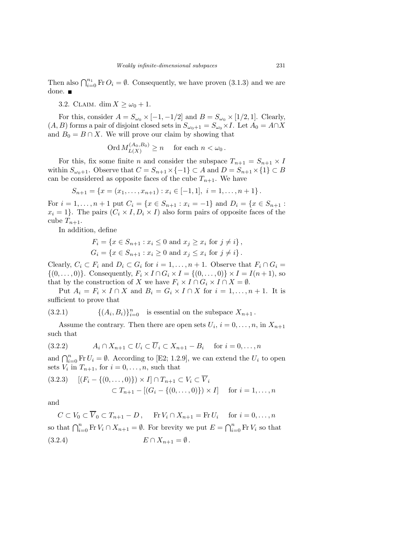Then also  $\bigcap_{i=0}^{n_1}$  Fr  $O_i = \emptyset$ . Consequently, we have proven (3.1.3) and we are done.

3.2. CLAIM. dim  $X \geq \omega_0 + 1$ .

For this, consider  $A = S_{\omega_0} \times [-1, -1/2]$  and  $B = S_{\omega_0} \times [1/2, 1]$ . Clearly,  $(A,B)$  forms a pair of disjoint closed sets in  $S_{\omega_0+1}=S_{\omega_0}\times I.$  Let  $A_0=A\cap X$ and  $B_0 = B \cap X$ . We will prove our claim by showing that

$$
\text{Ord}\, M_{L(X)}^{(A_0,B_0)} \ge n \quad \text{ for each } n < \omega_0 \, .
$$

For this, fix some finite *n* and consider the subspace  $T_{n+1} = S_{n+1} \times I$ within  $S_{\omega_0+1}$ . Observe that  $C = S_{n+1} \times \{-1\} \subset A$  and  $D = S_{n+1} \times \{1\} \subset B$ can be considered as opposite faces of the cube  $T_{n+1}$ . We have

$$
S_{n+1} = \{x = (x_1, \ldots, x_{n+1}) : x_i \in [-1,1], i = 1, \ldots, n+1\}.
$$

For  $i = 1, ..., n + 1$  put  $C_i = \{x \in S_{n+1} : x_i = -1\}$  and  $D_i = \{x \in S_{n+1} : x_i = -1\}$  $x_i = 1$ . The pairs  $(C_i \times I, D_i \times I)$  also form pairs of opposite faces of the cube  $T_{n+1}$ .

In addition, define

$$
F_i = \{ x \in S_{n+1} : x_i \le 0 \text{ and } x_j \ge x_i \text{ for } j \ne i \},\,
$$
  

$$
G_i = \{ x \in S_{n+1} : x_i \ge 0 \text{ and } x_j \le x_i \text{ for } j \ne i \}.
$$

Clearly,  $C_i \subset F_i$  and  $D_i \subset G_i$  for  $i = 1, ..., n + 1$ . Observe that  $F_i \cap G_i =$  $\{(0, ..., 0)\}\.$  Consequently,  $F_i \times I \cap G_i \times I = \{(0, ..., 0)\}\times I = I(n+1)$ , so that by the construction of X we have  $F_i \times I \cap G_i \times I \cap X = \emptyset$ .

Put  $A_i = F_i \times I \cap X$  and  $B_i = G_i \times I \cap X$  for  $i = 1, ..., n + 1$ . It is sufficient to prove that

(3.2.1) 
$$
\{(A_i, B_i)\}_{i=0}^n \text{ is essential on the subspace } X_{n+1}.
$$

Assume the contrary. Then there are open sets  $U_i$ ,  $i = 0, \ldots, n$ , in  $X_{n+1}$ such that

$$
(3.2.2) \t A_i \cap X_{n+1} \subset U_i \subset \overline{U}_i \subset X_{n+1} - B_i \t for i = 0, ..., n
$$

and  $\bigcap_{i=0}^{n} \text{Fr } U_i = \emptyset$ . According to [E2; 1.2.9], we can extend the  $U_i$  to open sets  $V_i$  in  $T_{n+1}$ , for  $i = 0, \ldots, n$ , such that

$$
(3.2.3) \quad [(F_i - \{(0, \dots, 0)\}) \times I] \cap T_{n+1} \subset V_i \subset \overline{V}_i
$$
  
 
$$
\subset T_{n+1} - [(G_i - \{(0, \dots, 0)\}) \times I] \quad \text{for } i = 1, \dots, n
$$

and

 $C \subset V_0 \subset V_0 \subset T_{n+1} - D$ , Fr  $V_i \cap X_{n+1} = \text{Fr } U_i$  for  $i = 0, \ldots, n$ so that  $\bigcap_{i=0}^{n} \text{Fr } V_i \cap X_{n+1} = \emptyset$ . For brevity we put  $E = \bigcap_{i=0}^{n} \text{Fr } V_i$  so that (3.2.4)  $E \cap X_{n+1} = \emptyset$ .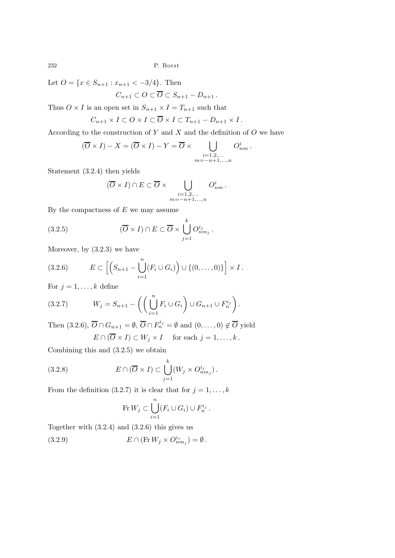Let  $O = \{x \in S_{n+1} : x_{n+1} < -3/4\}$ . Then

$$
C_{n+1} \subset O \subset \overline{O} \subset S_{n+1} - D_{n+1} \, .
$$

Thus  $O \times I$  is an open set in  $S_{n+1} \times I = T_{n+1}$  such that

$$
C_{n+1} \times I \subset O \times I \subset \overline{O} \times I \subset T_{n+1} - D_{n+1} \times I.
$$

According to the construction of  $Y$  and  $X$  and the definition of  $O$  we have

$$
(\overline{O} \times I) - X = (\overline{O} \times I) - Y = \overline{O} \times \bigcup_{\substack{i=1,2,\dots \\ m=-n+1,\dots,n}} O^i_{nm}.
$$

Statement (3.2.4) then yields

$$
(\overline{O} \times I) \cap E \subset \overline{O} \times \bigcup_{\substack{i=1,2,\dots \\ m=-n+1,\dots,n}} O^i_{nm}.
$$

By the compactness of  $E$  we may assume

(3.2.5) 
$$
(\overline{O} \times I) \cap E \subset \overline{O} \times \bigcup_{j=1}^{k} O_{nm_j}^{i_j}.
$$

Moreover, by (3.2.3) we have

(3.2.6) 
$$
E \subset \left[ \left( S_{n+1} - \bigcup_{i=1}^{n} (F_i \cup G_i) \right) \cup \{ (0, \ldots, 0) \} \right] \times I.
$$

For  $j = 1, \ldots, k$  define

(3.2.7) 
$$
W_j = S_{n+1} - \left( \left( \bigcup_{i=1}^n F_i \cup G_i \right) \cup G_{n+1} \cup F_n^{i_j} \right).
$$

Then  $(3.2.6), \overline{O} \cap G_{n+1} = \emptyset, \overline{O} \cap F_n^{i_j} = \emptyset$  and  $(0, \ldots, 0) \notin \overline{O}$  yield  $E \cap (\overline{O} \times I) \subset W_j \times I$  for each  $j = 1, ..., k$ .

Combining this and (3.2.5) we obtain

(3.2.8) 
$$
E \cap (\overline{O} \times I) \subset \bigcup_{j=1}^{k} (W_j \times O_{nm_j}^{i_j}).
$$

From the definition (3.2.7) it is clear that for  $j = 1, \ldots, k$ 

$$
\text{Fr } W_j \subset \bigcup_{i=1}^n (F_i \cup G_i) \cup F_n^{i_j} \, .
$$

Together with (3.2.4) and (3.2.6) this gives us

(3.2.9)  $E \cap (\text{Fr } W_j \times O_{nm_j}^{i_j}) = \emptyset.$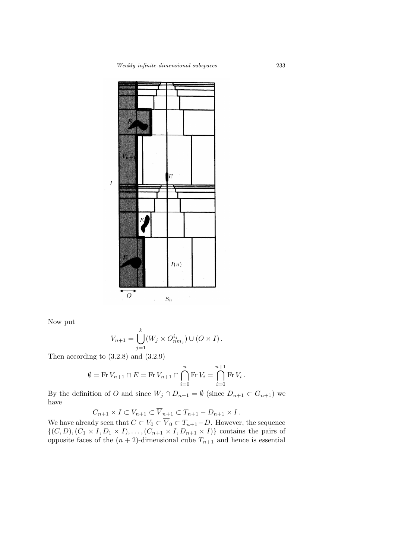

Now put

$$
V_{n+1} = \bigcup_{j=1}^{k} (W_j \times O_{nm_j}^{i_j}) \cup (O \times I).
$$

Then according to  $(3.2.8)$  and  $(3.2.9)$ 

$$
\emptyset = \text{Fr } V_{n+1} \cap E = \text{Fr } V_{n+1} \cap \bigcap_{i=0}^{n} \text{Fr } V_i = \bigcap_{i=0}^{n+1} \text{Fr } V_i \, .
$$

By the definition of O and since  $W_j \cap D_{n+1} = \emptyset$  (since  $D_{n+1} \subset G_{n+1}$ ) we have

$$
C_{n+1} \times I \subset V_{n+1} \subset \overline{V}_{n+1} \subset T_{n+1} - D_{n+1} \times I.
$$

We have already seen that  $C \subset V_0 \subset V_0 \subset T_{n+1}-D$ . However, the sequence  $\{(C, D), (C_1 \times I, D_1 \times I), \ldots, (C_{n+1} \times I, D_{n+1} \times I)\}\)$  contains the pairs of opposite faces of the  $(n+2)$ -dimensional cube  $T_{n+1}$  and hence is essential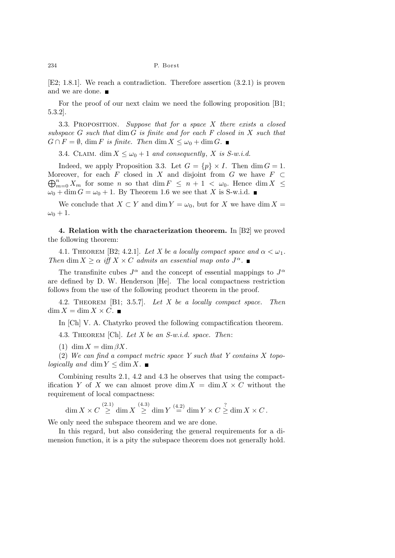[E2; 1.8.1]. We reach a contradiction. Therefore assertion (3.2.1) is proven and we are done.  $\blacksquare$ 

For the proof of our next claim we need the following proposition [B1; 5.3.2].

3.3. Proposition. Suppose that for a space X there exists a closed subspace  $G$  such that  $\dim G$  is finite and for each  $F$  closed in  $X$  such that  $G \cap F = \emptyset$ , dim F is finite. Then dim  $X \leq \omega_0 + \dim G$ .

3.4. CLAIM. dim  $X \leq \omega_0 + 1$  and consequently, X is S-w.i.d.

Indeed, we apply Proposition 3.3. Let  $G = \{p\} \times I$ . Then  $\dim G = 1$ . Moreover, for each F closed in X and disjoint from G we have  $F \subset$  $\bigoplus_{m=0}^n X_m$  for some n so that  $\dim F \leq n+1 < \omega_0$ . Hence  $\dim X \leq$  $\omega_0 + \dim G = \omega_0 + 1$ . By Theorem 1.6 we see that X is S-w.i.d.

We conclude that  $X \subset Y$  and dim  $Y = \omega_0$ , but for X we have dim  $X =$  $\omega_0 + 1$ .

4. Relation with the characterization theorem. In [B2] we proved the following theorem:

4.1. THEOREM [B2; 4.2.1]. Let X be a locally compact space and  $\alpha < \omega_1$ . Then dim  $X \geq \alpha$  iff  $X \times C$  admits an essential map onto  $J^{\alpha}$ .

The transfinite cubes  $J^{\alpha}$  and the concept of essential mappings to  $J^{\alpha}$ are defined by D. W. Henderson [He]. The local compactness restriction follows from the use of the following product theorem in the proof.

4.2. Theorem [B1; 3.5.7]. Let X be a locally compact space. Then  $\dim X = \dim X \times C$ .

In [Ch] V. A. Chatyrko proved the following compactification theorem.

4.3. THEOREM [Ch]. Let X be an  $S-w.i.d.$  space. Then:

(1) dim  $X = \dim \beta X$ .

 $(2)$  We can find a compact metric space Y such that Y contains X topologically and dim  $Y \leq \dim X$ .

Combining results 2.1, 4.2 and 4.3 he observes that using the compactification Y of X we can almost prove dim  $X = \dim X \times C$  without the requirement of local compactness:

 $\dim X \times C \stackrel{(2.1)}{\geq} \dim X \stackrel{(4.3)}{\geq} \dim Y \stackrel{(4.2)}{=} \dim Y \times C \stackrel{?}{\geq} \dim X \times C$ .

We only need the subspace theorem and we are done.

In this regard, but also considering the general requirements for a dimension function, it is a pity the subspace theorem does not generally hold.